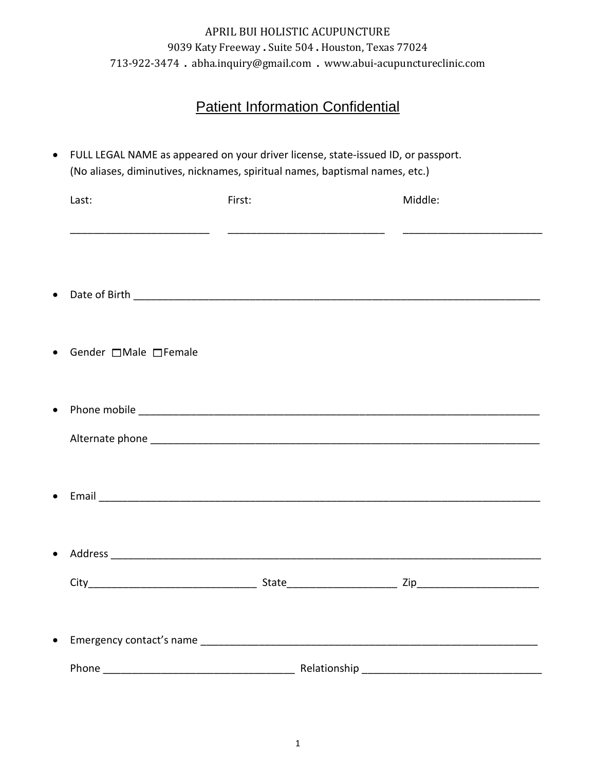# Patient Information Confidential

| Last:                            | First: | Middle:             |
|----------------------------------|--------|---------------------|
|                                  |        |                     |
| Gender $\Box$ Male $\Box$ Female |        |                     |
|                                  |        |                     |
|                                  |        |                     |
|                                  |        |                     |
|                                  |        | ___________ Zip____ |
|                                  |        |                     |
|                                  |        |                     |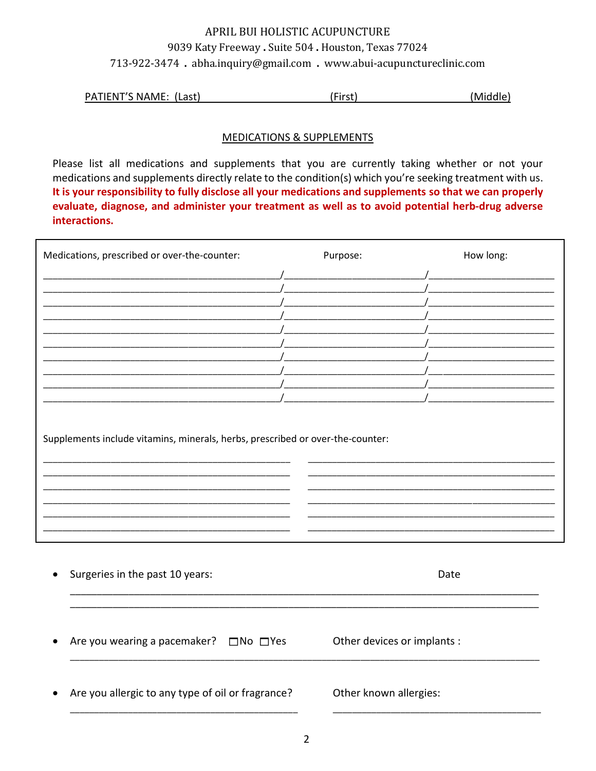|  | PATIENT'S NAME: (Last) | First. | (Middle) |
|--|------------------------|--------|----------|
|--|------------------------|--------|----------|

#### **MEDICATIONS & SUPPLEMENTS**

Please list all medications and supplements that you are currently taking whether or not your medications and supplements directly relate to the condition(s) which you're seeking treatment with us. It is your responsibility to fully disclose all your medications and supplements so that we can properly evaluate, diagnose, and administer your treatment as well as to avoid potential herb-drug adverse interactions.

| Medications, prescribed or over-the-counter: | Purpose: |                             | How long: |
|----------------------------------------------|----------|-----------------------------|-----------|
|                                              |          |                             |           |
|                                              |          |                             |           |
|                                              |          |                             |           |
|                                              |          |                             |           |
|                                              |          |                             |           |
|                                              |          |                             |           |
|                                              |          |                             |           |
|                                              |          |                             |           |
|                                              |          |                             |           |
| Surgeries in the past 10 years:              |          | Date                        |           |
| Are you wearing a pacemaker? □No □Yes        |          | Other devices or implants : |           |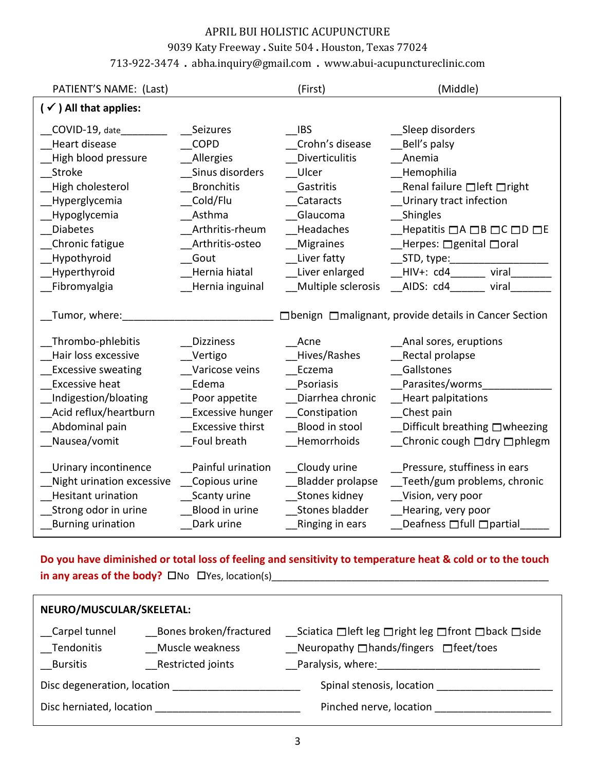#### 9039 Katy Freeway **.** Suite 504 **.** Houston, Texas 77024

#### 713-922-3474 **.** [abha.inquiry@gmail.com](mailto:abha.inquiry@gmail.com) **.** [www.abui-acupunctureclinic.com](http://www.abui-acupunctureclinic.com/)

| PATIENT'S NAME: (Last)                                                                                                                                                                     |                                                                                                                                                                   | (First)                                                                                                                                                          | (Middle)                                                                                                                                                                                                                                  |
|--------------------------------------------------------------------------------------------------------------------------------------------------------------------------------------------|-------------------------------------------------------------------------------------------------------------------------------------------------------------------|------------------------------------------------------------------------------------------------------------------------------------------------------------------|-------------------------------------------------------------------------------------------------------------------------------------------------------------------------------------------------------------------------------------------|
| $(\checkmark)$ All that applies:                                                                                                                                                           |                                                                                                                                                                   |                                                                                                                                                                  |                                                                                                                                                                                                                                           |
| COVID-19, date<br>Heart disease<br>High blood pressure<br>Stroke<br>High cholesterol<br>Hyperglycemia<br>Hypoglycemia<br><b>Diabetes</b><br>Chronic fatigue<br>Hypothyroid<br>Hyperthyroid | Seizures<br><b>COPD</b><br>Allergies<br>Sinus disorders<br><b>Bronchitis</b><br>Cold/Flu<br>Asthma<br>Arthritis-rheum<br>Arthritis-osteo<br>Gout<br>Hernia hiatal | <b>IBS</b><br>Crohn's disease<br><b>Diverticulitis</b><br>Ulcer<br>Gastritis<br>Cataracts<br>Glaucoma<br>Headaches<br>Migraines<br>Liver fatty<br>Liver enlarged | Sleep disorders<br>Bell's palsy<br>Anemia<br>Hemophilia<br>Renal failure □ left □ right<br>Urinary tract infection<br>Shingles<br>Hepatitis □A □B □C □D □E<br>Herpes: $\Box$ genital $\Box$ oral<br>_STD, type:_______<br>HIV+: cd4 viral |
| Fibromyalgia                                                                                                                                                                               | Hernia inguinal                                                                                                                                                   | Multiple sclerosis                                                                                                                                               | AIDS: cd4 viral                                                                                                                                                                                                                           |
| Tumor, where:                                                                                                                                                                              |                                                                                                                                                                   |                                                                                                                                                                  | □ benign □ malignant, provide details in Cancer Section                                                                                                                                                                                   |
| Thrombo-phlebitis<br>Hair loss excessive<br><b>Excessive sweating</b><br><b>Excessive heat</b><br>Indigestion/bloating<br>Acid reflux/heartburn<br>Abdominal pain<br>Nausea/vomit          | <b>Dizziness</b><br>Vertigo<br>Varicose veins<br>Edema<br>Poor appetite<br>Excessive hunger<br><b>Excessive thirst</b><br>Foul breath                             | Acne<br>Hives/Rashes<br>Eczema<br>Psoriasis<br>Diarrhea chronic<br>Constipation<br>Blood in stool<br>Hemorrhoids                                                 | Anal sores, eruptions<br>Rectal prolapse<br>Gallstones<br>Parasites/worms<br><b>Heart palpitations</b><br>Chest pain<br>Difficult breathing □wheezing<br>Chronic cough adry aphlegm                                                       |
| Urinary incontinence<br>Night urination excessive<br><b>Hesitant urination</b><br>Strong odor in urine<br><b>Burning urination</b>                                                         | Painful urination<br>Copious urine<br>Scanty urine<br>Blood in urine<br>Dark urine                                                                                | Cloudy urine<br>Bladder prolapse<br>Stones kidney<br>Stones bladder<br>Ringing in ears                                                                           | Pressure, stuffiness in ears<br>Teeth/gum problems, chronic<br>Vision, very poor<br>Hearing, very poor<br>Deafness $\Box$ full $\Box$ partial                                                                                             |

## **Do you have diminished or total loss of feeling and sensitivity to temperature heat & cold or to the touch in any areas of the body?** No Yes, location(s)\_\_\_\_\_\_\_\_\_\_\_\_\_\_\_\_\_\_\_\_\_\_\_\_\_\_\_\_\_\_\_\_\_\_\_\_\_\_\_\_\_\_\_\_\_\_\_\_\_\_\_\_

| NEURO/MUSCULAR/SKELETAL:                |                                                                |                                                                                                                                            |  |  |  |
|-----------------------------------------|----------------------------------------------------------------|--------------------------------------------------------------------------------------------------------------------------------------------|--|--|--|
| Carpel tunnel<br>Tendonitis<br>Bursitis | Bones broken/fractured<br>Muscle weakness<br>Restricted joints | <i>__</i> Sciatica □left leg □right leg □front □back □side<br>$\Box$ Neuropathy $\Box$ hands/fingers $\Box$ feet/toes<br>Paralysis, where: |  |  |  |
| Disc degeneration, location             |                                                                | Spinal stenosis, location                                                                                                                  |  |  |  |
| Disc herniated, location                |                                                                | Pinched nerve, location                                                                                                                    |  |  |  |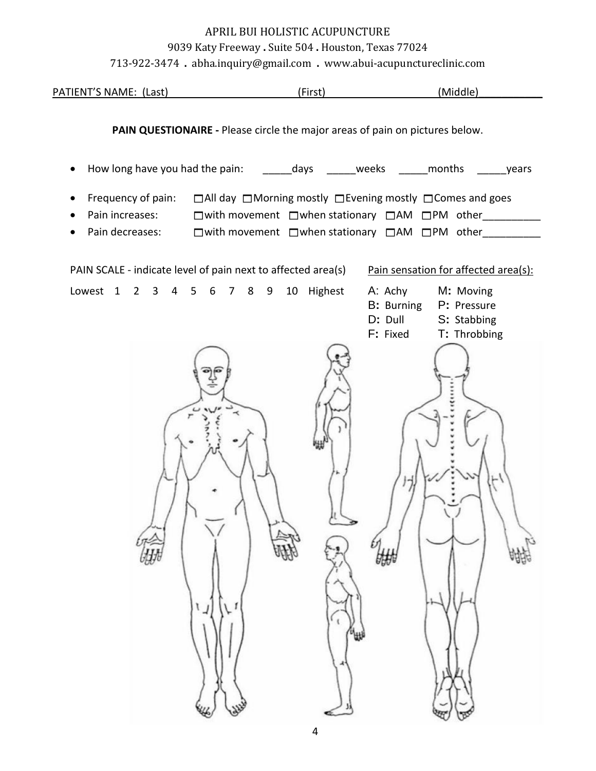#### 9039 Katy Freeway **.** Suite 504 **.** Houston, Texas 77024

713-922-3474 **.** [abha.inquiry@gmail.com](mailto:abha.inquiry@gmail.com) **.** [www.abui-acupunctureclinic.com](http://www.abui-acupunctureclinic.com/)

|                              | $713$ 722 $3171$ . abhaingan ye ginan.com . www.aburacupuncture.mnc.com                                                      |                                              |                                                                    |
|------------------------------|------------------------------------------------------------------------------------------------------------------------------|----------------------------------------------|--------------------------------------------------------------------|
| PATIENT'S NAME: (Last)       |                                                                                                                              | (First)                                      | (Middle)                                                           |
|                              | PAIN QUESTIONAIRE - Please circle the major areas of pain on pictures below.                                                 |                                              |                                                                    |
|                              | How long have you had the pain: ________days _______weeks _______months _______years                                         |                                              |                                                                    |
| $\bullet$<br>Pain increases: | Frequency of pain: □All day □Morning mostly □Evening mostly □Comes and goes<br>□with movement □when stationary □AM □PM other |                                              |                                                                    |
| Pain decreases:<br>$\bullet$ | □with movement □when stationary □AM □PM other_________                                                                       |                                              |                                                                    |
|                              | PAIN SCALE - indicate level of pain next to affected area(s)                                                                 |                                              | Pain sensation for affected area(s):                               |
| Lowest 1 2 3 4 5 6 7 8 9     |                                                                                                                              | 10 Highest<br>A: Achy<br>D: Dull<br>F: Fixed | M: Moving<br>B: Burning P: Pressure<br>S: Stabbing<br>T: Throbbing |
|                              |                                                                                                                              | 姗<br>₩                                       |                                                                    |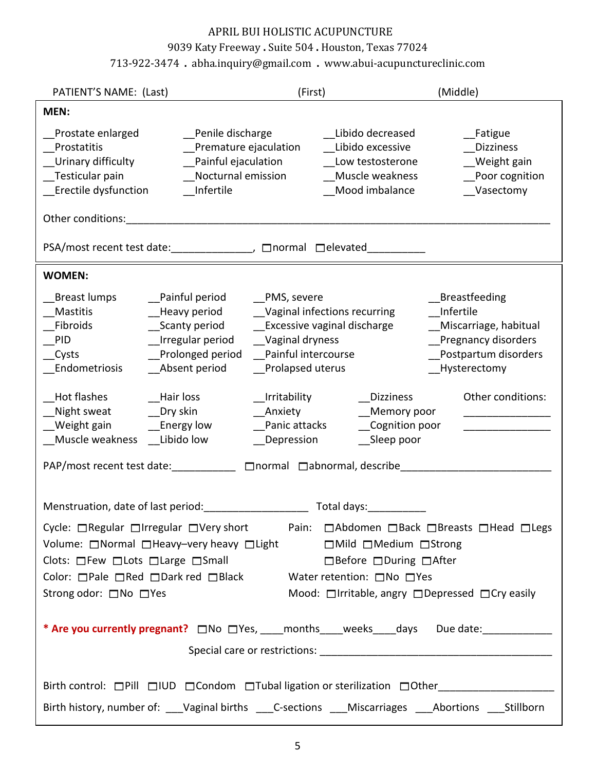#### 9039 Katy Freeway **.** Suite 504 **.** Houston, Texas 77024

### 713-922-3474 **.** [abha.inquiry@gmail.com](mailto:abha.inquiry@gmail.com) **.** [www.abui-acupunctureclinic.com](http://www.abui-acupunctureclinic.com/)

| PATIENT'S NAME: (Last)                                                                                                                                                                                                                                                                                                                                                                                         | (First)                                                                                                                                                                                                                                                                                     | (Middle)                                                                                                                                       |  |  |
|----------------------------------------------------------------------------------------------------------------------------------------------------------------------------------------------------------------------------------------------------------------------------------------------------------------------------------------------------------------------------------------------------------------|---------------------------------------------------------------------------------------------------------------------------------------------------------------------------------------------------------------------------------------------------------------------------------------------|------------------------------------------------------------------------------------------------------------------------------------------------|--|--|
| MEN:                                                                                                                                                                                                                                                                                                                                                                                                           |                                                                                                                                                                                                                                                                                             |                                                                                                                                                |  |  |
| Prostate enlarged<br>_Penile discharge<br>Prostatitis<br>Premature ejaculation<br>Urinary difficulty<br>_Painful ejaculation<br>Nocturnal emission<br>Testicular pain<br>_Erectile dysfunction<br>Infertile                                                                                                                                                                                                    | Libido decreased<br>Libido excessive<br>Low testosterone<br>Muscle weakness<br>Mood imbalance                                                                                                                                                                                               | __Fatigue<br><b>Dizziness</b><br>Weight gain<br>Poor cognition<br>Vasectomy                                                                    |  |  |
| PSA/most recent test date: _______________, □normal □elevated___________                                                                                                                                                                                                                                                                                                                                       |                                                                                                                                                                                                                                                                                             |                                                                                                                                                |  |  |
| <b>WOMEN:</b>                                                                                                                                                                                                                                                                                                                                                                                                  |                                                                                                                                                                                                                                                                                             |                                                                                                                                                |  |  |
| Breast lumps<br>__Painful period<br>Mastitis<br>__Scanty period<br>Fibroids<br>_Irregular period<br><b>PID</b><br>_Prolonged period<br>__Cysts<br>_Absent period<br>__Endometriosis<br>Hot flashes<br>__Hair loss<br>_Night sweat<br>Dry skin<br>Weight gain<br>__Energy low<br>Muscle weakness Libido low                                                                                                     | __PMS, severe<br>Heavy period Vaginal infections recurring<br>_Excessive vaginal discharge<br>Vaginal dryness<br>Painful intercourse<br>_Prolapsed uterus<br>Irritability<br><b>Dizziness</b><br>Anxiety<br>__Memory poor<br>_Cognition poor<br>Panic attacks<br>__Depression<br>Sleep poor | <b>Breastfeeding</b><br>Infertile<br>Miscarriage, habitual<br>Pregnancy disorders<br>Postpartum disorders<br>Hysterectomy<br>Other conditions: |  |  |
| Menstruation, date of last period: The manuscript of all days:                                                                                                                                                                                                                                                                                                                                                 |                                                                                                                                                                                                                                                                                             |                                                                                                                                                |  |  |
| Cycle: $\Box$ Regular $\Box$ Irregular $\Box$ Very short<br>Pain: □Abdomen □Back □Breasts □Head □Legs<br>Volume: □ Normal □ Heavy-very heavy □ Light<br>■ Mild □ Medium □ Strong<br>$\Box$ Before $\Box$ During $\Box$ After<br>Clots: □ Few □ Lots □ Large □ Small<br>Color: □Pale □Red □Dark red □Black Water retention: □No □Yes<br>Strong odor: □No □Yes<br>Mood: □Irritable, angry □Depressed □Cry easily |                                                                                                                                                                                                                                                                                             |                                                                                                                                                |  |  |
|                                                                                                                                                                                                                                                                                                                                                                                                                |                                                                                                                                                                                                                                                                                             |                                                                                                                                                |  |  |
| Birth control: Pill DIUD DCondom DTubal ligation or sterilization DOther<br>Birth history, number of: ___Vaginal births ___C-sections ___Miscarriages ___Abortions ___Stillborn                                                                                                                                                                                                                                |                                                                                                                                                                                                                                                                                             |                                                                                                                                                |  |  |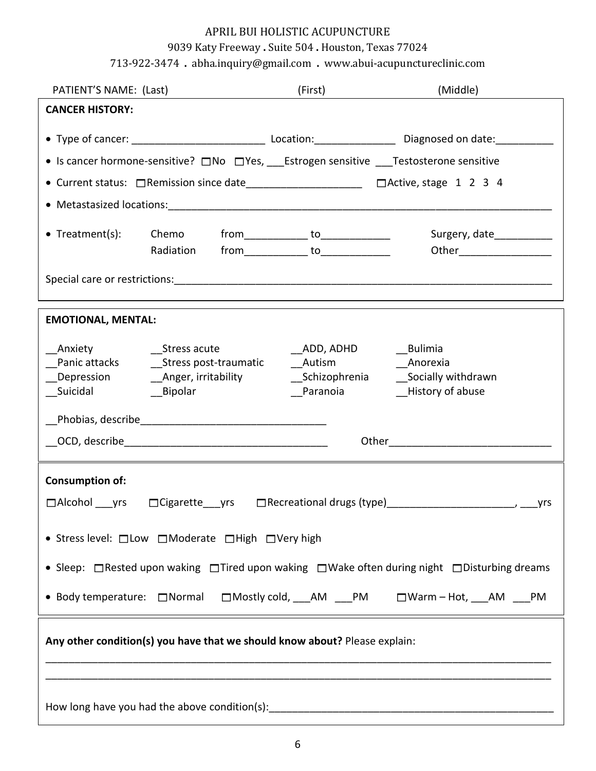## 9039 Katy Freeway **.** Suite 504 **.** Houston, Texas 77024

713-922-3474 **.** [abha.inquiry@gmail.com](mailto:abha.inquiry@gmail.com) **.** [www.abui-acupunctureclinic.com](http://www.abui-acupunctureclinic.com/)

| PATIENT'S NAME: (Last)                                                                          |                                               |  | (First)                    |  | (Middle)                                               |                           |
|-------------------------------------------------------------------------------------------------|-----------------------------------------------|--|----------------------------|--|--------------------------------------------------------|---------------------------|
| <b>CANCER HISTORY:</b>                                                                          |                                               |  |                            |  |                                                        |                           |
|                                                                                                 |                                               |  |                            |  |                                                        |                           |
| • Is cancer hormone-sensitive? □No □Yes, ___Estrogen sensitive ___Testosterone sensitive        |                                               |  |                            |  |                                                        |                           |
| ● Current status: □Remission since date_________________________ □Active, stage 1 2 3 4         |                                               |  |                            |  |                                                        |                           |
|                                                                                                 |                                               |  |                            |  |                                                        |                           |
| • Treatment(s):                                                                                 | Chemo from_____________ to______________      |  |                            |  |                                                        | Surgery, date____________ |
|                                                                                                 | Radiation from______________ to______________ |  |                            |  |                                                        | Other_________________    |
|                                                                                                 |                                               |  |                            |  |                                                        |                           |
| <b>EMOTIONAL, MENTAL:</b>                                                                       |                                               |  |                            |  |                                                        |                           |
| Suicidal Bipolar                                                                                |                                               |  | __ADD, ADHD _______Bulimia |  | <b>Example 2</b> Anorexia<br>Paranoia Mistory of abuse |                           |
|                                                                                                 |                                               |  |                            |  |                                                        |                           |
|                                                                                                 |                                               |  |                            |  |                                                        |                           |
| <b>Consumption of:</b>                                                                          |                                               |  |                            |  |                                                        |                           |
| • Stress level: □ Low □ Moderate □ High □ Very high                                             |                                               |  |                            |  |                                                        |                           |
| • Sleep: □ Rested upon waking □ Tired upon waking □ Wake often during night □ Disturbing dreams |                                               |  |                            |  |                                                        |                           |
| • Body temperature: □Normal □Mostly cold, __AM __PM   □Warm-Hot, __AM __PM                      |                                               |  |                            |  |                                                        |                           |
| Any other condition(s) you have that we should know about? Please explain:                      |                                               |  |                            |  |                                                        |                           |
|                                                                                                 |                                               |  |                            |  |                                                        |                           |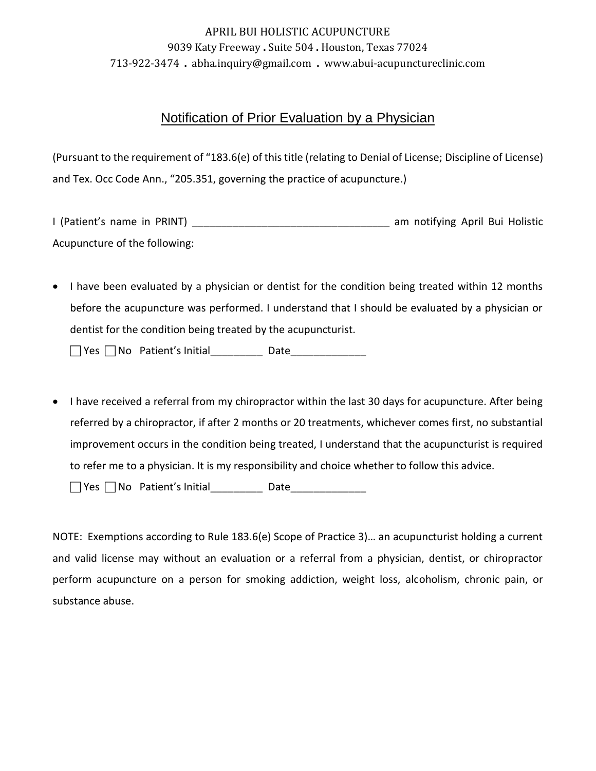### Notification of Prior Evaluation by a Physician

(Pursuant to the requirement of "183.6(e) of this title (relating to Denial of License; Discipline of License) and Tex. Occ Code Ann., "205.351, governing the practice of acupuncture.)

I (Patient's name in PRINT) \_\_\_\_\_\_\_\_\_\_\_\_\_\_\_\_\_\_\_\_\_\_\_\_\_\_\_\_\_\_\_\_\_\_ am notifying April Bui Holistic Acupuncture of the following:

• I have been evaluated by a physician or dentist for the condition being treated within 12 months before the acupuncture was performed. I understand that I should be evaluated by a physician or dentist for the condition being treated by the acupuncturist.

Yes No Patient's Initial\_\_\_\_\_\_\_\_\_ Date\_\_\_\_\_\_\_\_\_\_\_\_\_

• I have received a referral from my chiropractor within the last 30 days for acupuncture. After being referred by a chiropractor, if after 2 months or 20 treatments, whichever comes first, no substantial improvement occurs in the condition being treated, I understand that the acupuncturist is required to refer me to a physician. It is my responsibility and choice whether to follow this advice.

Yes No Patient's Initial\_\_\_\_\_\_\_\_\_ Date\_\_\_\_\_\_\_\_\_\_\_\_\_

NOTE: Exemptions according to Rule 183.6(e) Scope of Practice 3)… an acupuncturist holding a current and valid license may without an evaluation or a referral from a physician, dentist, or chiropractor perform acupuncture on a person for smoking addiction, weight loss, alcoholism, chronic pain, or substance abuse.